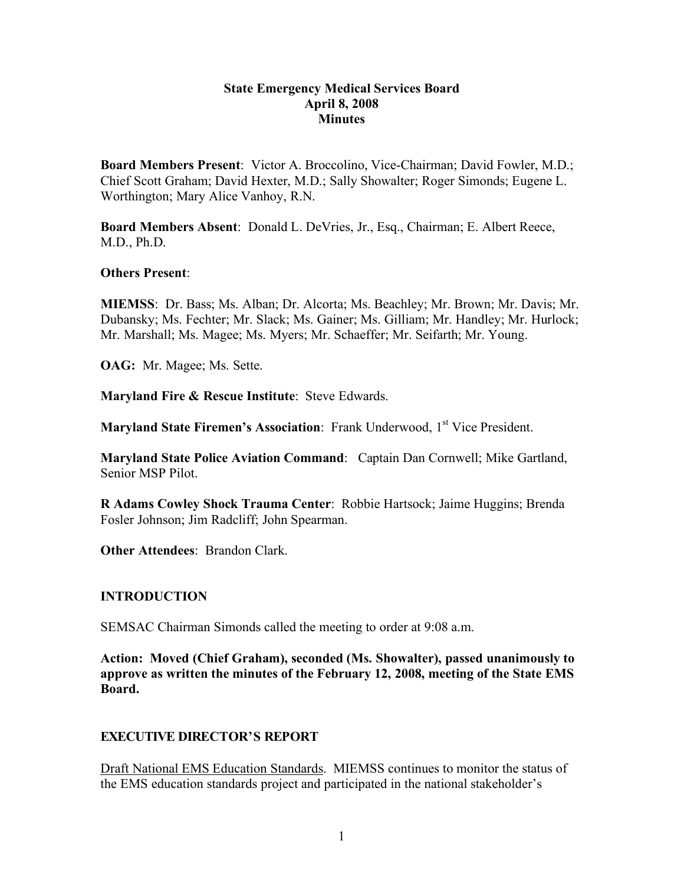#### **State Emergency Medical Services Board April 8, 2008 Minutes**

**Board Members Present**: Victor A. Broccolino, Vice-Chairman; David Fowler, M.D.; Chief Scott Graham; David Hexter, M.D.; Sally Showalter; Roger Simonds; Eugene L. Worthington; Mary Alice Vanhoy, R.N.

**Board Members Absent**: Donald L. DeVries, Jr., Esq., Chairman; E. Albert Reece, M.D., Ph.D.

#### **Others Present**:

**MIEMSS**: Dr. Bass; Ms. Alban; Dr. Alcorta; Ms. Beachley; Mr. Brown; Mr. Davis; Mr. Dubansky; Ms. Fechter; Mr. Slack; Ms. Gainer; Ms. Gilliam; Mr. Handley; Mr. Hurlock; Mr. Marshall; Ms. Magee; Ms. Myers; Mr. Schaeffer; Mr. Seifarth; Mr. Young.

**OAG:** Mr. Magee; Ms. Sette.

**Maryland Fire & Rescue Institute**: Steve Edwards.

**Maryland State Firemen's Association:** Frank Underwood, 1<sup>st</sup> Vice President.

**Maryland State Police Aviation Command**: Captain Dan Cornwell; Mike Gartland, Senior MSP Pilot.

**R Adams Cowley Shock Trauma Center**: Robbie Hartsock; Jaime Huggins; Brenda Fosler Johnson; Jim Radcliff; John Spearman.

**Other Attendees**: Brandon Clark.

## **INTRODUCTION**

SEMSAC Chairman Simonds called the meeting to order at 9:08 a.m.

**Action: Moved (Chief Graham), seconded (Ms. Showalter), passed unanimously to approve as written the minutes of the February 12, 2008, meeting of the State EMS Board.**

## **EXECUTIVE DIRECTOR'S REPORT**

Draft National EMS Education Standards. MIEMSS continues to monitor the status of the EMS education standards project and participated in the national stakeholder's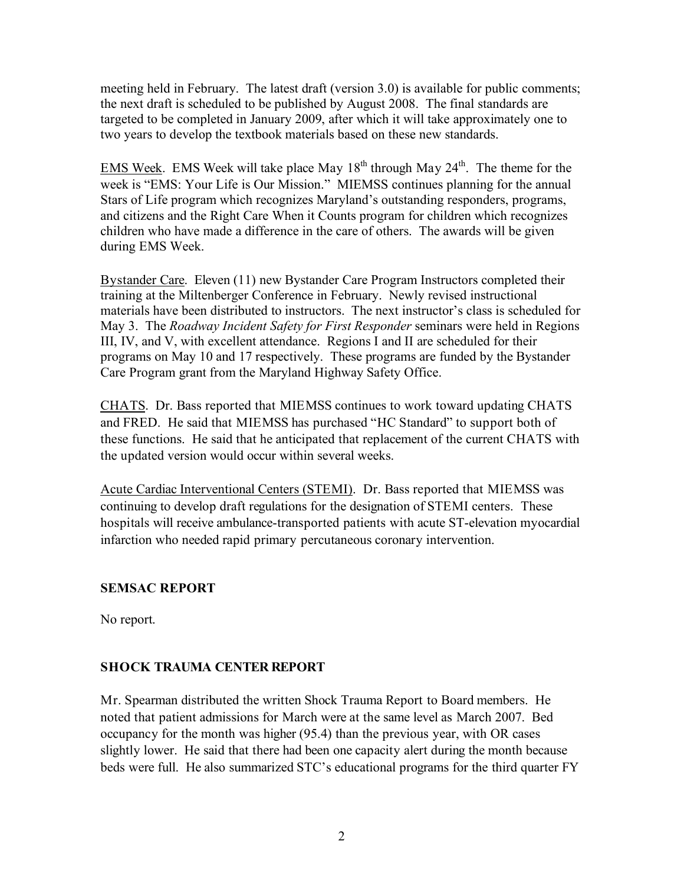meeting held in February. The latest draft (version 3.0) is available for public comments; the next draft is scheduled to be published by August 2008. The final standards are targeted to be completed in January 2009, after which it will take approximately one to two years to develop the textbook materials based on these new standards.

EMS Week. EMS Week will take place May  $18<sup>th</sup>$  through May  $24<sup>th</sup>$ . The theme for the week is "EMS: Your Life is Our Mission." MIEMSS continues planning for the annual Stars of Life program which recognizes Maryland's outstanding responders, programs, and citizens and the Right Care When it Counts program for children which recognizes children who have made a difference in the care of others. The awards will be given during EMS Week.

Bystander Care. Eleven (11) new Bystander Care Program Instructors completed their training at the Miltenberger Conference in February. Newly revised instructional materials have been distributed to instructors. The next instructor's class is scheduled for May 3. The *Roadway Incident Safety for First Responder* seminars were held in Regions III, IV, and V, with excellent attendance. Regions I and II are scheduled for their programs on May 10 and 17 respectively. These programs are funded by the Bystander Care Program grant from the Maryland Highway Safety Office.

CHATS. Dr. Bass reported that MIEMSS continues to work toward updating CHATS and FRED. He said that MIEMSS has purchased "HC Standard" to support both of these functions. He said that he anticipated that replacement of the current CHATS with the updated version would occur within several weeks.

Acute Cardiac Interventional Centers (STEMI). Dr. Bass reported that MIEMSS was continuing to develop draft regulations for the designation of STEMI centers. These hospitals will receive ambulance-transported patients with acute ST-elevation myocardial infarction who needed rapid primary percutaneous coronary intervention.

## **SEMSAC REPORT**

No report.

## **SHOCK TRAUMA CENTER REPORT**

Mr. Spearman distributed the written Shock Trauma Report to Board members. He noted that patient admissions for March were at the same level as March 2007. Bed occupancy for the month was higher (95.4) than the previous year, with OR cases slightly lower. He said that there had been one capacity alert during the month because beds were full. He also summarized STC's educational programs for the third quarter FY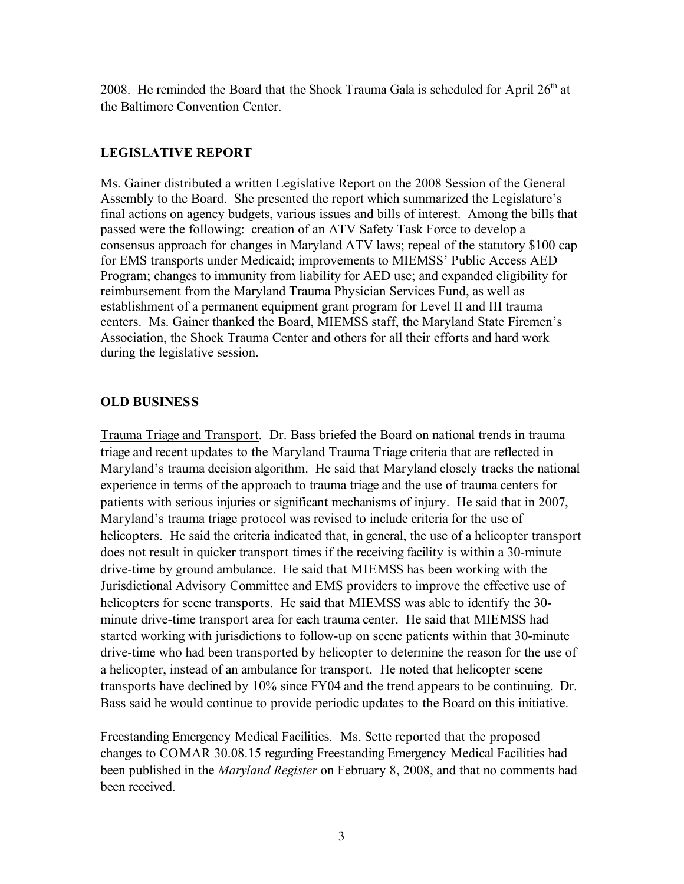2008. He reminded the Board that the Shock Trauma Gala is scheduled for April  $26<sup>th</sup>$  at the Baltimore Convention Center.

## **LEGISLATIVE REPORT**

Ms. Gainer distributed a written Legislative Report on the 2008 Session of the General Assembly to the Board. She presented the report which summarized the Legislature's final actions on agency budgets, various issues and bills of interest. Among the bills that passed were the following: creation of an ATV Safety Task Force to develop a consensus approach for changes in Maryland ATV laws; repeal of the statutory \$100 cap for EMS transports under Medicaid; improvements to MIEMSS' Public Access AED Program; changes to immunity from liability for AED use; and expanded eligibility for reimbursement from the Maryland Trauma Physician Services Fund, as well as establishment of a permanent equipment grant program for Level II and III trauma centers. Ms. Gainer thanked the Board, MIEMSS staff, the Maryland State Firemen's Association, the Shock Trauma Center and others for all their efforts and hard work during the legislative session.

## **OLD BUSINESS**

Trauma Triage and Transport. Dr. Bass briefed the Board on national trends in trauma triage and recent updates to the Maryland Trauma Triage criteria that are reflected in Maryland's trauma decision algorithm. He said that Maryland closely tracks the national experience in terms of the approach to trauma triage and the use of trauma centers for patients with serious injuries or significant mechanisms of injury. He said that in 2007, Maryland's trauma triage protocol was revised to include criteria for the use of helicopters. He said the criteria indicated that, in general, the use of a helicopter transport does not result in quicker transport times if the receiving facility is within a 30-minute drive-time by ground ambulance. He said that MIEMSS has been working with the Jurisdictional Advisory Committee and EMS providers to improve the effective use of helicopters for scene transports. He said that MIEMSS was able to identify the 30 minute drive-time transport area for each trauma center. He said that MIEMSS had started working with jurisdictions to follow-up on scene patients within that 30-minute drive-time who had been transported by helicopter to determine the reason for the use of a helicopter, instead of an ambulance for transport. He noted that helicopter scene transports have declined by 10% since FY04 and the trend appears to be continuing. Dr. Bass said he would continue to provide periodic updates to the Board on this initiative.

Freestanding Emergency Medical Facilities. Ms. Sette reported that the proposed changes to COMAR 30.08.15 regarding Freestanding Emergency Medical Facilities had been published in the *Maryland Register* on February 8, 2008, and that no comments had been received.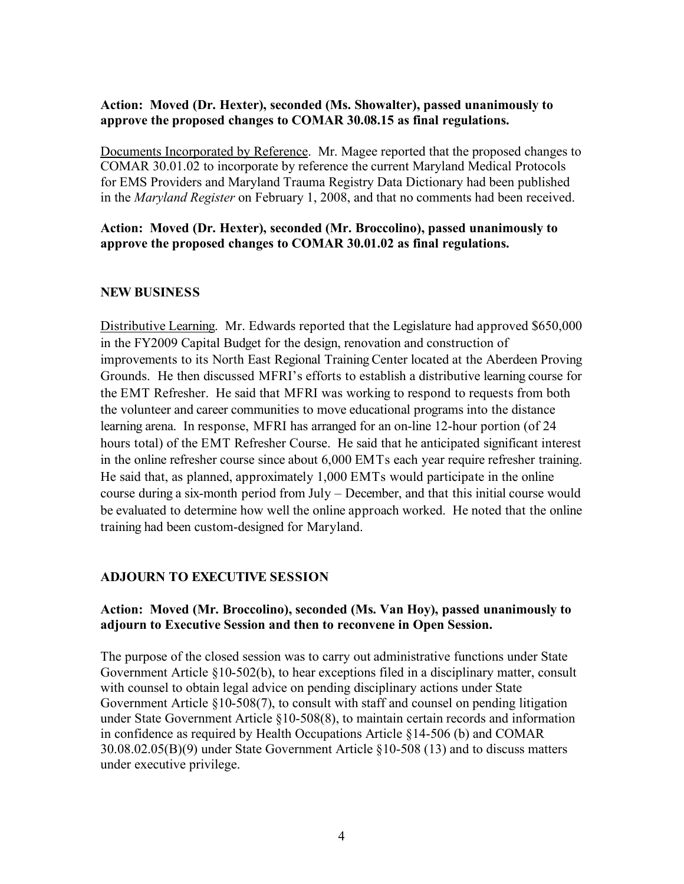#### **Action: Moved (Dr. Hexter), seconded (Ms. Showalter), passed unanimously to approve the proposed changes to COMAR 30.08.15 as final regulations.**

Documents Incorporated by Reference. Mr. Magee reported that the proposed changes to COMAR 30.01.02 to incorporate by reference the current Maryland Medical Protocols for EMS Providers and Maryland Trauma Registry Data Dictionary had been published in the *Maryland Register* on February 1, 2008, and that no comments had been received.

### **Action: Moved (Dr. Hexter), seconded (Mr. Broccolino), passed unanimously to approve the proposed changes to COMAR 30.01.02 as final regulations.**

## **NEW BUSINESS**

Distributive Learning. Mr. Edwards reported that the Legislature had approved \$650,000 in the FY2009 Capital Budget for the design, renovation and construction of improvements to its North East Regional Training Center located at the Aberdeen Proving Grounds. He then discussed MFRI's efforts to establish a distributive learning course for the EMT Refresher. He said that MFRI was working to respond to requests from both the volunteer and career communities to move educational programs into the distance learning arena. In response, MFRI has arranged for an on-line 12-hour portion (of 24 hours total) of the EMT Refresher Course. He said that he anticipated significant interest in the online refresher course since about 6,000 EMTs each year require refresher training. He said that, as planned, approximately 1,000 EMTs would participate in the online course during a six-month period from July – December, and that this initial course would be evaluated to determine how well the online approach worked. He noted that the online training had been custom-designed for Maryland.

## **ADJOURN TO EXECUTIVE SESSION**

#### **Action: Moved (Mr. Broccolino), seconded (Ms. Van Hoy), passed unanimously to adjourn to Executive Session and then to reconvene in Open Session.**

The purpose of the closed session was to carry out administrative functions under State Government Article §10-502(b), to hear exceptions filed in a disciplinary matter, consult with counsel to obtain legal advice on pending disciplinary actions under State Government Article §10-508(7), to consult with staff and counsel on pending litigation under State Government Article §10-508(8), to maintain certain records and information in confidence as required by Health Occupations Article §14-506 (b) and COMAR 30.08.02.05(B)(9) under State Government Article §10-508 (13) and to discuss matters under executive privilege.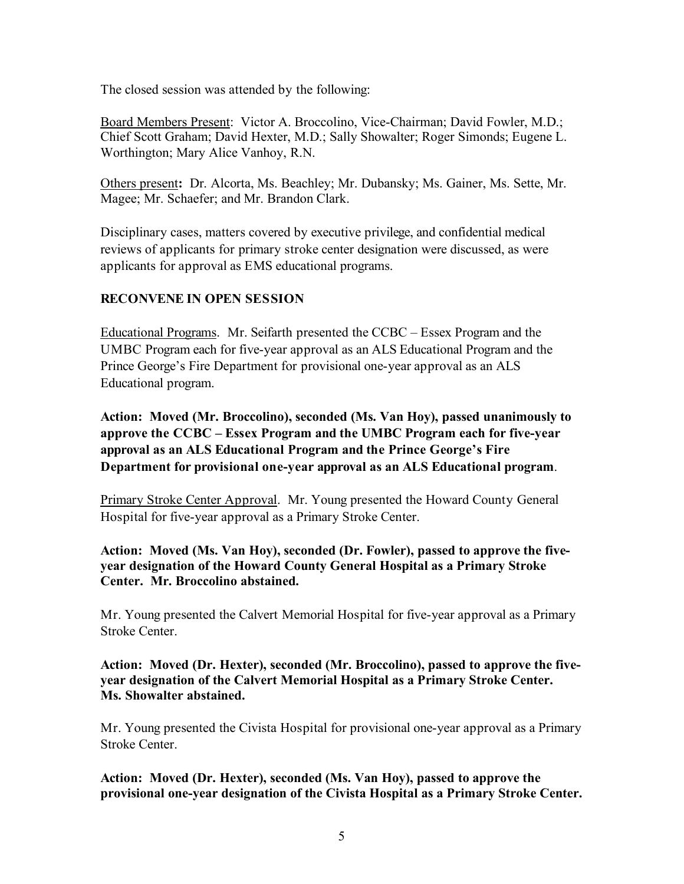The closed session was attended by the following:

Board Members Present: Victor A. Broccolino, Vice-Chairman; David Fowler, M.D.; Chief Scott Graham; David Hexter, M.D.; Sally Showalter; Roger Simonds; Eugene L. Worthington; Mary Alice Vanhoy, R.N.

Others present**:** Dr. Alcorta, Ms. Beachley; Mr. Dubansky; Ms. Gainer, Ms. Sette, Mr. Magee; Mr. Schaefer; and Mr. Brandon Clark.

Disciplinary cases, matters covered by executive privilege, and confidential medical reviews of applicants for primary stroke center designation were discussed, as were applicants for approval as EMS educational programs.

## **RECONVENE IN OPEN SESSION**

Educational Programs. Mr. Seifarth presented the CCBC – Essex Program and the UMBC Program each for five-year approval as an ALS Educational Program and the Prince George's Fire Department for provisional one-year approval as an ALS Educational program.

**Action: Moved (Mr. Broccolino), seconded (Ms. Van Hoy), passed unanimously to approve the CCBC – Essex Program and the UMBC Program each for five-year approval as an ALS Educational Program and the Prince George's Fire Department for provisional one-year approval as an ALS Educational program**.

Primary Stroke Center Approval. Mr. Young presented the Howard County General Hospital for five-year approval as a Primary Stroke Center.

**Action: Moved (Ms. Van Hoy), seconded (Dr. Fowler), passed to approve the fiveyear designation of the Howard County General Hospital as a Primary Stroke Center. Mr. Broccolino abstained.**

Mr. Young presented the Calvert Memorial Hospital for five-year approval as a Primary Stroke Center.

**Action: Moved (Dr. Hexter), seconded (Mr. Broccolino), passed to approve the fiveyear designation of the Calvert Memorial Hospital as a Primary Stroke Center. Ms. Showalter abstained.**

Mr. Young presented the Civista Hospital for provisional one-year approval as a Primary Stroke Center.

**Action: Moved (Dr. Hexter), seconded (Ms. Van Hoy), passed to approve the provisional one-year designation of the Civista Hospital as a Primary Stroke Center.**